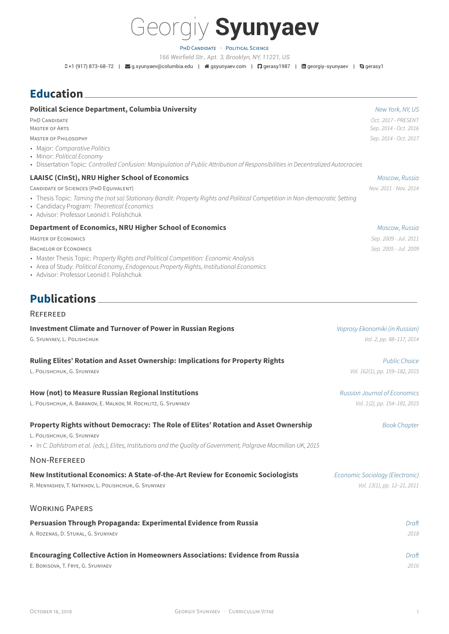

PHD CANDIDATE · POLITICAL SCIENCE *166 Weirfield Str., Apt. 3, Brooklyn, NY, 11221, US*

0+1 (917) 873-68-72 | ⊠g.syunyaev@columbia.edu | #gsyunyaev.com | **Q** gerasy1987 | **m** georgiy-syunyaev | **@** gerasy1

## **Education**

| <b>Political Science Department, Columbia University</b><br>PHD CANDIDATE<br><b>MASTER OF ARTS</b><br><b>MASTER OF PHILOSOPHY</b><br>• Major: Comparative Politics<br>• Minor: Political Economy<br>• Dissertation Topic: Controlled Confusion: Manipulation of Public Attribution of Responsibilities in Decentralized Autocracies                         | New York, NY, US<br>Oct. 2017 - PRESENT<br>Sep. 2014 - Oct. 2016<br>Sep. 2014 - Oct. 2017 |
|-------------------------------------------------------------------------------------------------------------------------------------------------------------------------------------------------------------------------------------------------------------------------------------------------------------------------------------------------------------|-------------------------------------------------------------------------------------------|
| LAAISC (CInSt), NRU Higher School of Economics<br>CANDIDATE OF SCIENCES (PHD EQUIVALENT)<br>• Thesis Topic: Taming the (not so) Stationary Bandit: Property Rights and Political Competition in Non-democratic Setting<br>• Candidacy Program: Theoretical Economics<br>• Advisor: Professor Leonid I. Polishchuk                                           | Moscow, Russia<br>Nov. 2011 - Nov. 2014                                                   |
| <b>Department of Economics, NRU Higher School of Economics</b><br><b>MASTER OF ECONOMICS</b><br><b>BACHELOR OF ECONOMICS</b><br>• Master Thesis Topic: Property Rights and Political Competition: Economic Analysis<br>• Area of Study: Political Economy, Endogenous Property Rights, Institutional Economics<br>• Advisor: Professor Leonid I. Polishchuk | Moscow, Russia<br>Sep. 2009 - Jul. 2011<br>Sep. 2005 - Jul. 2009                          |
| <b>Publications</b><br><b>REFEREED</b><br><b>Investment Climate and Turnover of Power in Russian Regions</b><br>G. SYUNYAEV, L. POLISHCHUK                                                                                                                                                                                                                  | Voprosy Ekonomiki (in Russian)<br>Vol. 2, pp. 88-117, 2014                                |
| Ruling Elites' Rotation and Asset Ownership: Implications for Property Rights<br>L. POLISHCHUK, G. SYUNYAEV                                                                                                                                                                                                                                                 | <b>Public Choice</b><br>Vol. 162(1), pp. 159-182, 2015                                    |
| How (not) to Measure Russian Regional Institutions<br>L. POLISHCHUK, A. BARANOV, E. MALKOV, M. ROCHLITZ, G. SYUNYAEV                                                                                                                                                                                                                                        | <b>Russian Journal of Economics</b><br>Vol. 1(2), pp. 154-181, 2015                       |
| Property Rights without Democracy: The Role of Elites' Rotation and Asset Ownership<br>L. POLISHCHUK, G. SYUNYAEV<br>· In C. Dahlstrom et al. (eds.), Elites, Institutions and the Quality of Government, Palgrave Macmillan UK, 2015<br>NON-REFEREED                                                                                                       | <b>Book Chapter</b>                                                                       |
| New Institutional Economics: A State-of-the-Art Review for Economic Sociologists<br>R. MENYASHEV, T. NATKHOV, L. POLISHCHUK, G. SYUNYAEV                                                                                                                                                                                                                    | Economic Sociology (Electronic)<br>Vol. 13(1), pp. 12-21, 2011                            |
| <b>WORKING PAPERS</b><br>Persuasion Through Propaganda: Experimental Evidence from Russia<br>A. ROZENAS, D. STUKAL, G. SYUNYAEV                                                                                                                                                                                                                             | Draft<br>2018                                                                             |

**Encouraging Collective Action in Homeowners Associations: Evidence from Russia** *Draft* E. BORISOVA, T. FRYE, G. SYUNYAEV *2016*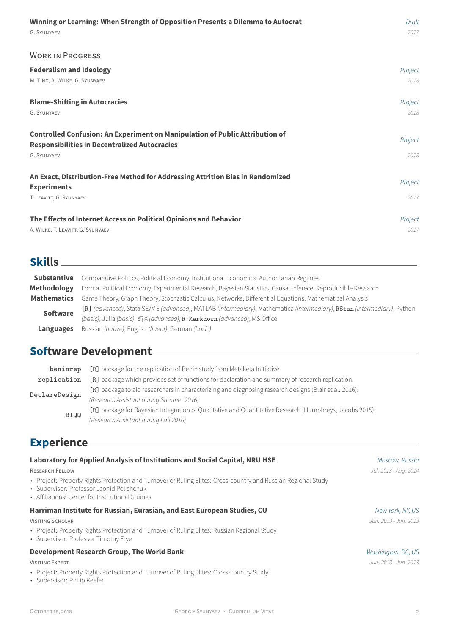#### WORK IN PROGRESS

| <b>Federalism and Ideology</b>                                                                                                                                    | Project         |
|-------------------------------------------------------------------------------------------------------------------------------------------------------------------|-----------------|
| M. TING, A. WILKE, G. SYUNYAEV                                                                                                                                    | 2018            |
| <b>Blame-Shifting in Autocracies</b>                                                                                                                              | Project         |
| G. SYUNYAEV                                                                                                                                                       | 2018            |
| <b>Controlled Confusion: An Experiment on Manipulation of Public Attribution of</b><br><b>Responsibilities in Decentralized Autocracies</b><br><b>G. SYUNYAEV</b> | Project<br>2018 |
| An Exact, Distribution-Free Method for Addressing Attrition Bias in Randomized<br><b>Experiments</b><br>T. LEAVITT, G. SYUNYAEV                                   | Project<br>2017 |
| The Effects of Internet Access on Political Opinions and Behavior                                                                                                 | Project         |
| A. WILKE, T. LEAVITT, G. SYUNYAEV                                                                                                                                 | 2017            |

## **Skills**

| <b>Substantive</b> | Comparative Politics, Political Economy, Institutional Economics, Authoritarian Regimes                                 |
|--------------------|-------------------------------------------------------------------------------------------------------------------------|
| <b>Methodology</b> | Formal Political Economy, Experimental Research, Bayesian Statistics, Causal Inferece, Reproducible Research            |
| <b>Mathematics</b> | Game Theory, Graph Theory, Stochastic Calculus, Networks, Differential Equations, Mathematical Analysis                 |
| <b>Software</b>    | [R] (advanced), Stata SE/ME (advanced), MATLAB (intermediary), Mathematica (intermediary), RStan (intermediary), Python |
|                    | (basic), Julia (basic), EFX (advanced), R Markdown (advanced), MS Office                                                |
| Languages          | Russian (native), English (fluent), German (basic)                                                                      |

## **Software Development**

| beninrep      | [R] package for the replication of Benin study from Metaketa Initiative.                                |
|---------------|---------------------------------------------------------------------------------------------------------|
| replication   | [R] package which provides set of functions for declaration and summary of research replication.        |
| DeclareDesign | [R] package to aid researchers in characterizing and diagnosing research designs (Blair et al. 2016).   |
|               | (Research Assistant during Summer 2016)                                                                 |
| <b>BIQQ</b>   | [R] package for Bayesian Integration of Qualitative and Quantitative Research (Humphreys, Jacobs 2015). |
|               | (Research Assistant during Fall 2016)                                                                   |

# **Experience**

| Laboratory for Applied Analysis of Institutions and Social Capital, NRU HSE                                                                                                                                    | Moscow, Russia        |
|----------------------------------------------------------------------------------------------------------------------------------------------------------------------------------------------------------------|-----------------------|
| <b>RESEARCH FELLOW</b>                                                                                                                                                                                         | Jul. 2013 - Aug. 2014 |
| • Project: Property Rights Protection and Turnover of Ruling Elites: Cross-country and Russian Regional Study<br>• Supervisor: Professor Leonid Polishchuk<br>• Affiliations: Center for Institutional Studies |                       |
| Harriman Institute for Russian, Eurasian, and East European Studies, CU                                                                                                                                        | New York, NY, US      |
| <b>VISITING SCHOLAR</b>                                                                                                                                                                                        | Jan. 2013 - Jun. 2013 |
| • Project: Property Rights Protection and Turnover of Ruling Elites: Russian Regional Study<br>• Supervisor: Professor Timothy Frye                                                                            |                       |
| <b>Development Research Group, The World Bank</b>                                                                                                                                                              | Washington, DC, US    |
| <b>VISITING EXPERT</b>                                                                                                                                                                                         | Jun. 2013 - Jun. 2013 |

- Project: Pro[perty Rights Protection](http://www.columbia.edu/~tmf2/) and Turnover of Ruling Elites: Cross-country Study
- Supervisor: Philip Keefer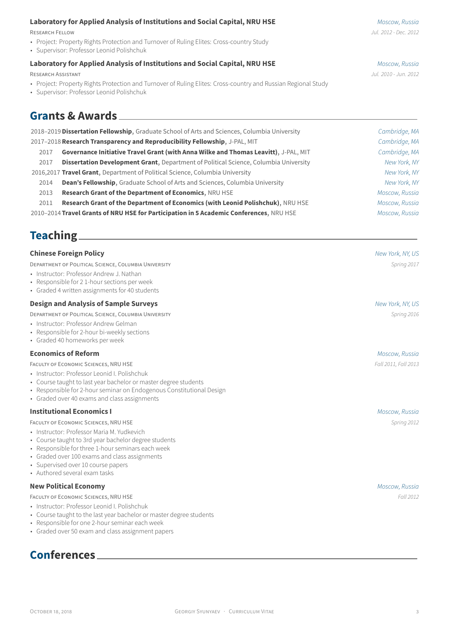- Project: Property Rights Protection and Turnover of Ruling Elites: Cross-country Study
- Supervisor: Professor Leonid Polishchuk

#### **[Laboratory for Applied Analysis of Institutions and Social Capital,](http://isc.hse.ru/about_eng) [NRU HSE](http://www.hse.ru/en/)** *Moscow, Russia*

RESEARCH ASSISTANT *Jul. 2010 - Jun. 2012*

- Project: Pro[perty Rights Protection and T](http://www.hse.ru/en/org/persons/65104)urnover of Ruling Elites: Cross-country and Russian Regional Study
- Supervisor: Professor Leonid Polishchuk

## **Grants & Awards**

|                                                                            | 2018-2019 Dissertation Fellowship, Graduate School of Arts and Sciences, Columbia University | Cambridge, MA  |
|----------------------------------------------------------------------------|----------------------------------------------------------------------------------------------|----------------|
| 2017-2018 Research Transparency and Reproducibility Fellowship, J-PAL, MIT |                                                                                              | Cambridge, MA  |
| 2017                                                                       | Governance Initiative Travel Grant (with Anna Wilke and Thomas Leavitt), J-PAL, MIT          | Cambridge, MA  |
| 2017                                                                       | <b>Dissertation Development Grant, Department of Political Science, Columbia University</b>  | New York, NY   |
|                                                                            | 2016,2017 Travel Grant, Department of Political Science, Columbia University                 | New York, NY   |
| 2014                                                                       | <b>Dean's Fellowship, Graduate School of Arts and Sciences, Columbia University</b>          | New York, NY   |
| 2013                                                                       | <b>Research Grant of the Department of Economics, NRU HSE</b>                                | Moscow, Russia |
| 2011                                                                       | Research Grant of the Department of Economics (with Leonid Polishchuk), NRU HSE              | Moscow, Russia |
|                                                                            | 2010-2014 Travel Grants of NRU HSE for Participation in 5 Academic Conferences, NRU HSE      | Moscow, Russia |

## **Teaching**

| <b>Chinese Foreign Policy</b><br>DEPARTMENT OF POLITICAL SCIENCE, COLUMBIA UNIVERSITY<br>• Instructor: Professor Andrew J. Nathan<br>• Responsible for 2 1-hour sections per week<br>• Graded 4 written assignments for 40 students<br><b>Design and Analysis of Sample Surveys</b><br>DEPARTMENT OF POLITICAL SCIENCE, COLUMBIA UNIVERSITY | New York, NY, US<br>Spring 2017<br>New York, NY, US<br>Spring 2016 |
|---------------------------------------------------------------------------------------------------------------------------------------------------------------------------------------------------------------------------------------------------------------------------------------------------------------------------------------------|--------------------------------------------------------------------|
| • Instructor: Professor Andrew Gelman<br>• Responsible for 2-hour bi-weekly sections<br>• Graded 40 homeworks per week                                                                                                                                                                                                                      |                                                                    |
| <b>Economics of Reform</b>                                                                                                                                                                                                                                                                                                                  | Moscow, Russia                                                     |
| FACULTY OF ECONOMIC SCIENCES, NRU HSE<br>• Instructor: Professor Leonid I. Polishchuk<br>• Course taught to last year bachelor or master degree students<br>• Responsible for 2-hour seminar on Endogenous Constitutional Design<br>• Graded over 40 exams and class assignments                                                            | Fall 2011, Fall 2013                                               |
| <b>Institutional Economics I</b>                                                                                                                                                                                                                                                                                                            | Moscow, Russia                                                     |
| FACULTY OF ECONOMIC SCIENCES, NRU HSE<br>• Instructor: Professor Maria M. Yudkevich<br>• Course taught to 3rd year bachelor degree students<br>• Responsible for three 1-hour seminars each week<br>• Graded over 100 exams and class assignments<br>• Supervised over 10 course papers<br>• Authored several exam tasks                    | Spring 2012                                                        |
| <b>New Political Economy</b>                                                                                                                                                                                                                                                                                                                | Moscow, Russia                                                     |
| FACULTY OF ECONOMIC SCIENCES, NRU HSE<br>• Instructor: Professor Leonid I. Polishchuk<br>• Course taught to the last year bachelor or master degree students<br>• Responsible for one 2-hour seminar each week<br>• Graded over 50 exam and class assignment papers                                                                         | Fall 2012                                                          |
| <b>Conferences</b>                                                                                                                                                                                                                                                                                                                          |                                                                    |